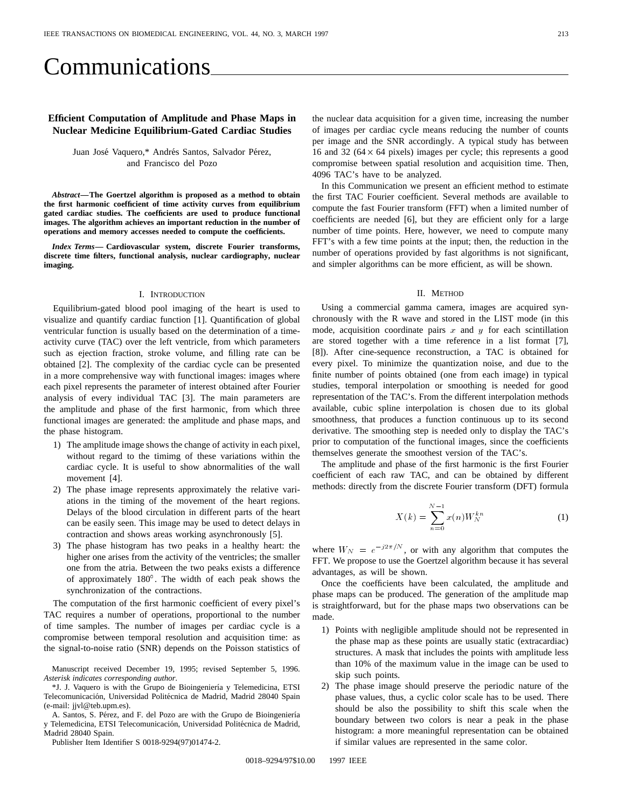# Communications

# **Efficient Computation of Amplitude and Phase Maps in Nuclear Medicine Equilibrium-Gated Cardiac Studies**

Juan José Vaquero,\* Andrés Santos, Salvador Pérez, and Francisco del Pozo

*Abstract—***The Goertzel algorithm is proposed as a method to obtain the first harmonic coefficient of time activity curves from equilibrium gated cardiac studies. The coefficients are used to produce functional images. The algorithm achieves an important reduction in the number of operations and memory accesses needed to compute the coefficients.**

*Index Terms—* **Cardiovascular system, discrete Fourier transforms, discrete time filters, functional analysis, nuclear cardiography, nuclear imaging.**

#### I. INTRODUCTION

Equilibrium-gated blood pool imaging of the heart is used to visualize and quantify cardiac function [1]. Quantification of global ventricular function is usually based on the determination of a timeactivity curve (TAC) over the left ventricle, from which parameters such as ejection fraction, stroke volume, and filling rate can be obtained [2]. The complexity of the cardiac cycle can be presented in a more comprehensive way with functional images: images where each pixel represents the parameter of interest obtained after Fourier analysis of every individual TAC [3]. The main parameters are the amplitude and phase of the first harmonic, from which three functional images are generated: the amplitude and phase maps, and the phase histogram.

- 1) The amplitude image shows the change of activity in each pixel, without regard to the timimg of these variations within the cardiac cycle. It is useful to show abnormalities of the wall movement [4].
- 2) The phase image represents approximately the relative variations in the timing of the movement of the heart regions. Delays of the blood circulation in different parts of the heart can be easily seen. This image may be used to detect delays in contraction and shows areas working asynchronously [5].
- 3) The phase histogram has two peaks in a healthy heart: the higher one arises from the activity of the ventricles; the smaller one from the atria. Between the two peaks exists a difference of approximately  $180^\circ$ . The width of each peak shows the synchronization of the contractions.

The computation of the first harmonic coefficient of every pixel's TAC requires a number of operations, proportional to the number of time samples. The number of images per cardiac cycle is a compromise between temporal resolution and acquisition time: as the signal-to-noise ratio (SNR) depends on the Poisson statistics of

Manuscript received December 19, 1995; revised September 5, 1996. *Asterisk indicates corresponding author.*

\*J. J. Vaquero is with the Grupo de Bioingeniería y Telemedicina, ETSI Telecomunicación, Universidad Politécnica de Madrid, Madrid 28040 Spain (e-mail: jjvl@teb.upm.es).

A. Santos, S. Pérez, and F. del Pozo are with the Grupo de Bioingeniería y Telemedicina, ETSI Telecomunicación, Universidad Politécnica de Madrid, Madrid 28040 Spain.

Publisher Item Identifier S 0018-9294(97)01474-2.

the nuclear data acquisition for a given time, increasing the number of images per cardiac cycle means reducing the number of counts per image and the SNR accordingly. A typical study has between 16 and 32 ( $64 \times 64$  pixels) images per cycle; this represents a good compromise between spatial resolution and acquisition time. Then, 4096 TAC's have to be analyzed.

In this Communication we present an efficient method to estimate the first TAC Fourier coefficient. Several methods are available to compute the fast Fourier transform (FFT) when a limited number of coefficients are needed [6], but they are efficient only for a large number of time points. Here, however, we need to compute many FFT's with a few time points at the input; then, the reduction in the number of operations provided by fast algorithms is not significant, and simpler algorithms can be more efficient, as will be shown.

#### II. METHOD

Using a commercial gamma camera, images are acquired synchronously with the R wave and stored in the LIST mode (in this mode, acquisition coordinate pairs  $x$  and  $y$  for each scintillation are stored together with a time reference in a list format [7], [8]). After cine-sequence reconstruction, a TAC is obtained for every pixel. To minimize the quantization noise, and due to the finite number of points obtained (one from each image) in typical studies, temporal interpolation or smoothing is needed for good representation of the TAC's. From the different interpolation methods available, cubic spline interpolation is chosen due to its global smoothness, that produces a function continuous up to its second derivative. The smoothing step is needed only to display the TAC's prior to computation of the functional images, since the coefficients themselves generate the smoothest version of the TAC's.

The amplitude and phase of the first harmonic is the first Fourier coefficient of each raw TAC, and can be obtained by different methods: directly from the discrete Fourier transform (DFT) formula

$$
X(k) = \sum_{n=0}^{N-1} x(n) W_N^{kn}
$$
 (1)

where  $W_N = e^{-j2\pi/N}$ , or with any algorithm that computes the FFT. We propose to use the Goertzel algorithm because it has several advantages, as will be shown.

Once the coefficients have been calculated, the amplitude and phase maps can be produced. The generation of the amplitude map is straightforward, but for the phase maps two observations can be made.

- 1) Points with negligible amplitude should not be represented in the phase map as these points are usually static (extracardiac) structures. A mask that includes the points with amplitude less than 10% of the maximum value in the image can be used to skip such points.
- 2) The phase image should preserve the periodic nature of the phase values, thus, a cyclic color scale has to be used. There should be also the possibility to shift this scale when the boundary between two colors is near a peak in the phase histogram: a more meaningful representation can be obtained if similar values are represented in the same color.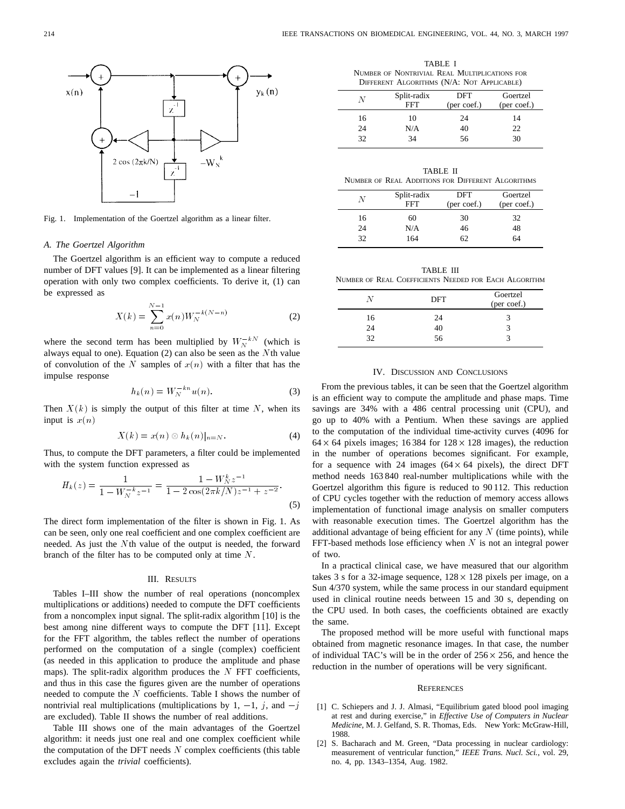

Fig. 1. Implementation of the Goertzel algorithm as a linear filter.

#### *A. The Goertzel Algorithm*

The Goertzel algorithm is an efficient way to compute a reduced number of DFT values [9]. It can be implemented as a linear filtering operation with only two complex coefficients. To derive it, (1) can<br>be expressed as<br> $N-1$ be expressed as

be expressed as  
\n
$$
X(k) = \sum_{n=0}^{N-1} x(n)W_N^{-k(N-n)}
$$
\nwhere the second term has been multiplied by  $W_N^{-kN}$  (which is

always equal to one). Equation (2) can also be seen as the Nth value of convolution of the N samples of  $x(n)$  with a filter that has the<br>impulse response<br> $h_k(n) = W_N^{-kn} u(n).$  (3) impulse response

$$
h_k(n) = W_N^{-kn} u(n). \tag{3}
$$

Then  $X(k)$  is simply the output of this filter at time N, when its input is  $x(n)$ 

$$
X(k) = x(n) \otimes h_k(n)|_{n=N}.
$$
 (4)

Thus, to compute the DFT parameters, a filter could be implemented<br>with the system function expressed as<br> $\frac{1}{W}$   $(1 - W_N^k z^{-1})$ 

with the system function expressed as  
\n
$$
H_k(z) = \frac{1}{1 - W_N^{-k} z^{-1}} = \frac{1 - W_N^{k} z^{-1}}{1 - 2 \cos(2\pi k/N) z^{-1} + z^{-2}}.
$$
\n(5)

The direct form implementation of the filter is shown in Fig. 1. As can be seen, only one real coefficient and one complex coefficient are needed. As just the Nth value of the output is needed, the forward branch of the filter has to be computed only at time  $N$ .

## III. RESULTS

Tables I–III show the number of real operations (noncomplex multiplications or additions) needed to compute the DFT coefficients from a noncomplex input signal. The split-radix algorithm [10] is the best among nine different ways to compute the DFT [11]. Except for the FFT algorithm, the tables reflect the number of operations performed on the computation of a single (complex) coefficient (as needed in this application to produce the amplitude and phase maps). The split-radix algorithm produces the  $N$  FFT coefficients, and thus in this case the figures given are the number of operations needed to compute the  $N$  coefficients. Table I shows the number of nontrivial real multiplications (multiplications by 1,  $-1$ , j, and  $-j$ are excluded). Table II shows the number of real additions.

Table III shows one of the main advantages of the Goertzel algorithm: it needs just one real and one complex coefficient while the computation of the DFT needs  $N$  complex coefficients (this table excludes again the *trivial* coefficients).

TABLE I NUMBER OF NONTRIVIAL REAL MULTIPLICATIONS FOR DIFFERENT ALGORITHMS (N/A: NOT APPLICABLE)

| N  | Split-radix<br><b>FFT</b> | DFT<br>(per coef.) | Goertzel<br>(per coef.) |
|----|---------------------------|--------------------|-------------------------|
| 16 | 10                        | 24                 | 14                      |
| 24 | N/A                       | 40                 | 22                      |
| 32 | 34                        | 56                 | 30                      |

| TABLE II                                          |  |  |  |  |  |
|---------------------------------------------------|--|--|--|--|--|
| NUMBER OF REAL ADDITIONS FOR DIFFERENT ALGORITHMS |  |  |  |  |  |

| N  | Split-radix<br>FFT | DFT<br>(per coef.) | Goertzel<br>(per coef.) |
|----|--------------------|--------------------|-------------------------|
| 16 | 60                 | 30                 | 32                      |
| 24 | N/A                | 46                 | 48                      |
| 32 | 164                | 62                 | 64                      |

TABLE III NUMBER OF REAL COEFFICIENTS NEEDED FOR EACH ALGORITHM

| N  | DFT | Goertzel<br>(per coef.) |
|----|-----|-------------------------|
| 16 | 24  |                         |
| 24 | 40  |                         |
| 32 | 56  |                         |

#### IV. DISCUSSION AND CONCLUSIONS

From the previous tables, it can be seen that the Goertzel algorithm is an efficient way to compute the amplitude and phase maps. Time savings are 34% with a 486 central processing unit (CPU), and go up to 40% with a Pentium. When these savings are applied to the computation of the individual time-activity curves (4096 for  $64 \times 64$  pixels images; 16384 for  $128 \times 128$  images), the reduction in the number of operations becomes significant. For example, for a sequence with 24 images  $(64 \times 64 \text{ pixels})$ , the direct DFT method needs 163 840 real-number multiplications while with the Goertzel algorithm this figure is reduced to 90 112. This reduction of CPU cycles together with the reduction of memory access allows implementation of functional image analysis on smaller computers with reasonable execution times. The Goertzel algorithm has the additional advantage of being efficient for any  $N$  (time points), while FFT-based methods lose efficiency when  $N$  is not an integral power of two.

In a practical clinical case, we have measured that our algorithm takes 3 s for a 32-image sequence,  $128 \times 128$  pixels per image, on a Sun 4/370 system, while the same process in our standard equipment used in clinical routine needs between 15 and 30 s, depending on the CPU used. In both cases, the coefficients obtained are exactly the same.

The proposed method will be more useful with functional maps obtained from magnetic resonance images. In that case, the number of individual TAC's will be in the order of  $256 \times 256$ , and hence the reduction in the number of operations will be very significant.

#### **REFERENCES**

- [1] C. Schiepers and J. J. Almasi, "Equilibrium gated blood pool imaging at rest and during exercise," in *Effective Use of Computers in Nuclear Medicine*, M. J. Gelfand, S. R. Thomas, Eds. New York: McGraw-Hill, 1988.
- [2] S. Bacharach and M. Green, "Data processing in nuclear cardiology: measurement of ventricular function," *IEEE Trans. Nucl. Sci.*, vol. 29, no. 4, pp. 1343–1354, Aug. 1982.